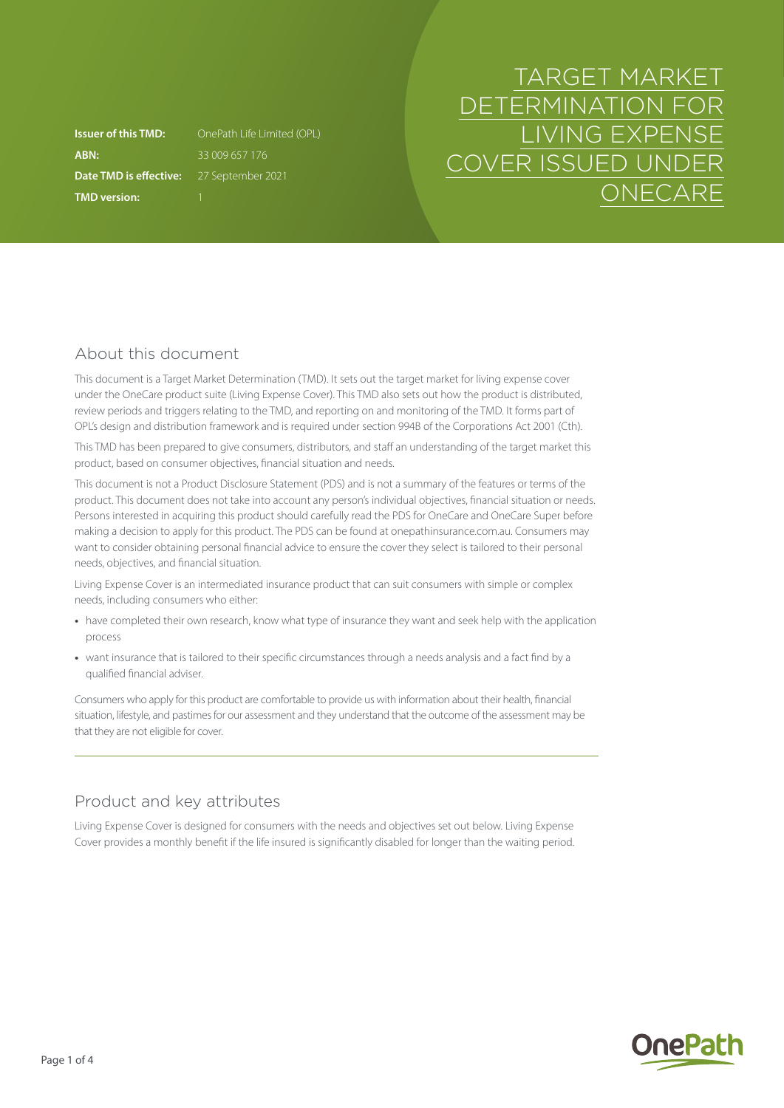**ABN:** 33 009 657 176 **Date TMD is effective:** 27 September 2021 **TMD version:** 1

**Issuer of this TMD:** OnePath Life Limited (OPL)

# TARGET MARKET DETERMINATION FOR LIVING EXPENSE COVER ISSUED UNDER **ONECARE**

# About this document

This document is a Target Market Determination (TMD). It sets out the target market for living expense cover under the OneCare product suite (Living Expense Cover). This TMD also sets out how the product is distributed, review periods and triggers relating to the TMD, and reporting on and monitoring of the TMD. It forms part of OPL's design and distribution framework and is required under section 994B of the Corporations Act 2001 (Cth).

This TMD has been prepared to give consumers, distributors, and staff an understanding of the target market this product, based on consumer objectives, financial situation and needs.

This document is not a Product Disclosure Statement (PDS) and is not a summary of the features or terms of the product. This document does not take into account any person's individual objectives, financial situation or needs. Persons interested in acquiring this product should carefully read the PDS for OneCare and OneCare Super before making a decision to apply for this product. The PDS can be found at [onepathinsurance.com.au.](http://onepathinsurance.com.au) Consumers may want to consider obtaining personal financial advice to ensure the cover they select is tailored to their personal needs, objectives, and financial situation.

Living Expense Cover is an intermediated insurance product that can suit consumers with simple or complex needs, including consumers who either:

- **•** have completed their own research, know what type of insurance they want and seek help with the application process
- **•** want insurance that is tailored to their specific circumstances through a needs analysis and a fact find by a qualified financial adviser.

Consumers who apply for this product are comfortable to provide us with information about their health, financial situation, lifestyle, and pastimes for our assessment and they understand that the outcome of the assessment may be that they are not eligible for cover.

# Product and key attributes

Living Expense Cover is designed for consumers with the needs and objectives set out below. Living Expense Cover provides a monthly benefit if the life insured is significantly disabled for longer than the waiting period.

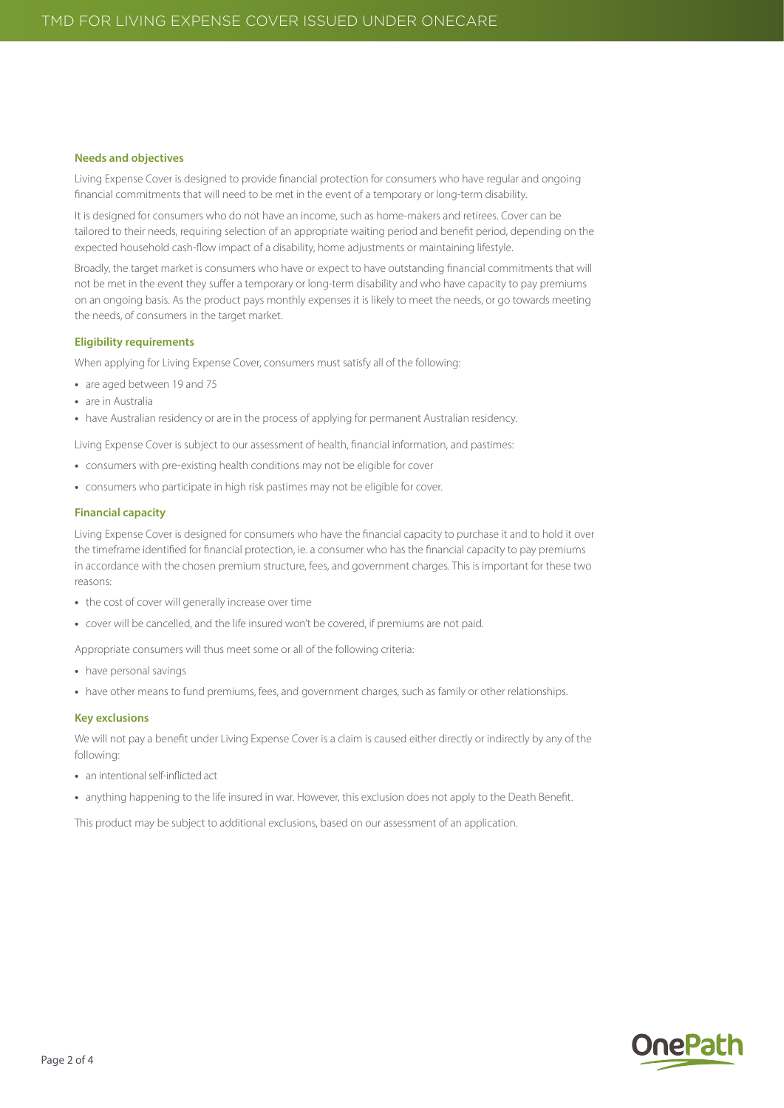#### **Needs and objectives**

Living Expense Cover is designed to provide financial protection for consumers who have regular and ongoing financial commitments that will need to be met in the event of a temporary or long-term disability.

It is designed for consumers who do not have an income, such as home-makers and retirees. Cover can be tailored to their needs, requiring selection of an appropriate waiting period and benefit period, depending on the expected household cash-flow impact of a disability, home adjustments or maintaining lifestyle.

Broadly, the target market is consumers who have or expect to have outstanding financial commitments that will not be met in the event they suffer a temporary or long-term disability and who have capacity to pay premiums on an ongoing basis. As the product pays monthly expenses it is likely to meet the needs, or go towards meeting the needs, of consumers in the target market.

#### **Eligibility requirements**

When applying for Living Expense Cover, consumers must satisfy all of the following:

- **•** are aged between 19 and 75
- **•** are in Australia
- have Australian residency or are in the process of applying for permanent Australian residency.

Living Expense Cover is subject to our assessment of health, financial information, and pastimes:

- **•** consumers with pre-existing health conditions may not be eligible for cover
- **•** consumers who participate in high risk pastimes may not be eligible for cover.

#### **Financial capacity**

Living Expense Cover is designed for consumers who have the financial capacity to purchase it and to hold it over the timeframe identified for financial protection, ie. a consumer who has the financial capacity to pay premiums in accordance with the chosen premium structure, fees, and government charges. This is important for these two reasons:

- **•** the cost of cover will generally increase over time
- **•** cover will be cancelled, and the life insured won't be covered, if premiums are not paid.

Appropriate consumers will thus meet some or all of the following criteria:

- **•** have personal savings
- **•** have other means to fund premiums, fees, and government charges, such as family or other relationships.

#### **Key exclusions**

We will not pay a benefit under Living Expense Cover is a claim is caused either directly or indirectly by any of the following:

- **•** an intentional self-inflicted act
- **•** anything happening to the life insured in war. However, this exclusion does not apply to the Death Benefit.

This product may be subject to additional exclusions, based on our assessment of an application.

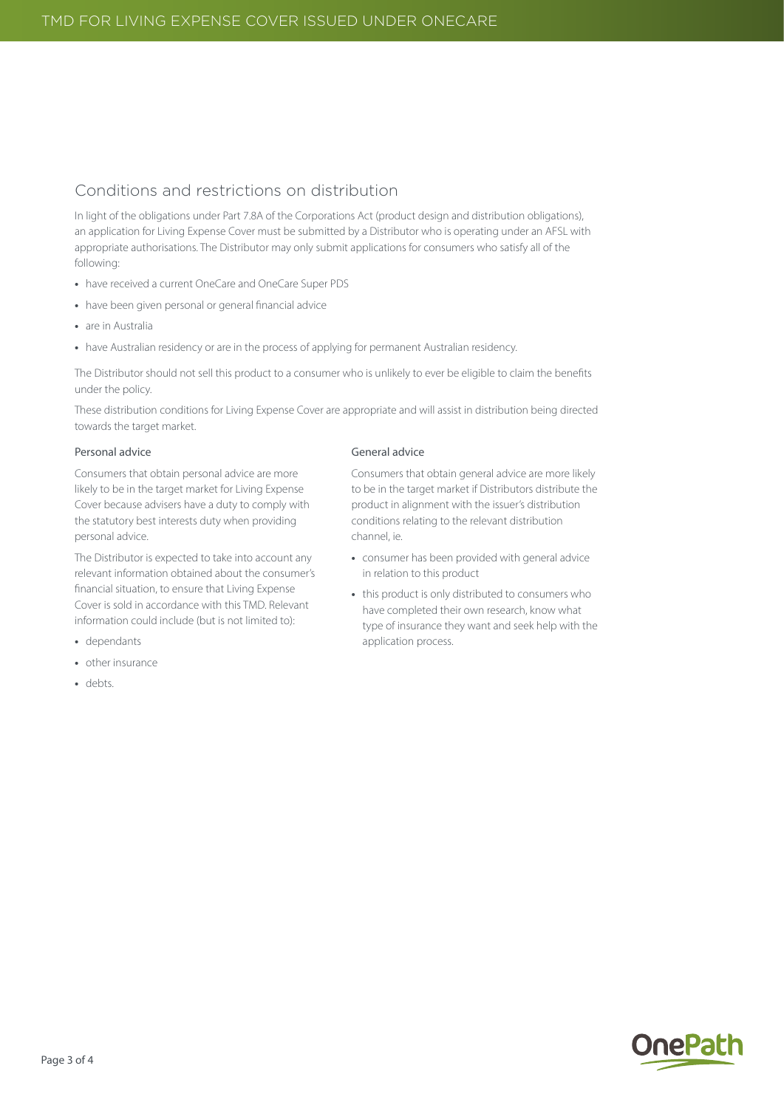### Conditions and restrictions on distribution

In light of the obligations under Part 7.8A of the Corporations Act (product design and distribution obligations), an application for Living Expense Cover must be submitted by a Distributor who is operating under an AFSL with appropriate authorisations. The Distributor may only submit applications for consumers who satisfy all of the following:

- **•** have received a current OneCare and OneCare Super PDS
- **•** have been given personal or general financial advice
- **•** are in Australia
- have Australian residency or are in the process of applying for permanent Australian residency.

The Distributor should not sell this product to a consumer who is unlikely to ever be eligible to claim the benefits under the policy.

These distribution conditions for Living Expense Cover are appropriate and will assist in distribution being directed towards the target market.

#### Personal advice

Consumers that obtain personal advice are more likely to be in the target market for Living Expense Cover because advisers have a duty to comply with the statutory best interests duty when providing personal advice.

The Distributor is expected to take into account any relevant information obtained about the consumer's financial situation, to ensure that Living Expense Cover is sold in accordance with this TMD. Relevant information could include (but is not limited to):

- **•** dependants
- **•** other insurance
- **•** debts.

#### General advice

Consumers that obtain general advice are more likely to be in the target market if Distributors distribute the product in alignment with the issuer's distribution conditions relating to the relevant distribution channel, ie.

- **•** consumer has been provided with general advice in relation to this product
- **•** this product is only distributed to consumers who have completed their own research, know what type of insurance they want and seek help with the application process.